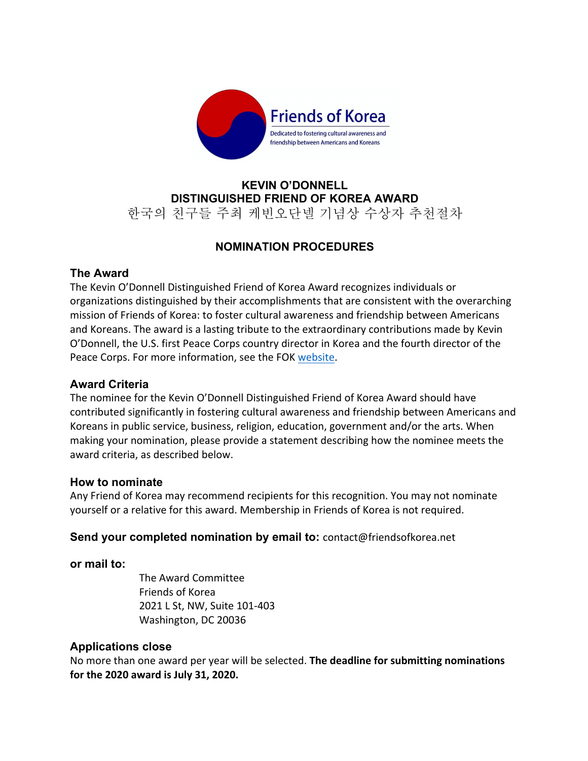

# **KEVIN O'DONNELL DISTINGUISHED FRIEND OF KOREA AWARD** 한국의 친구들 주최 케빈오단넬 기념상 수상자 추천절차

# **NOMINATION PROCEDURES**

## **The Award**

The Kevin O'Donnell Distinguished Friend of Korea Award recognizes individuals or organizations distinguished by their accomplishments that are consistent with the overarching mission of Friends of Korea: to foster cultural awareness and friendship between Americans and Koreans. The award is a lasting tribute to the extraordinary contributions made by Kevin O'Donnell, the U.S. first Peace Corps country director in Korea and the fourth director of the Peace Corps. For more information, see the FOK website.

### **Award Criteria**

The nominee for the Kevin O'Donnell Distinguished Friend of Korea Award should have contributed significantly in fostering cultural awareness and friendship between Americans and Koreans in public service, business, religion, education, government and/or the arts. When making your nomination, please provide a statement describing how the nominee meets the award criteria, as described below.

### **How to nominate**

Any Friend of Korea may recommend recipients for this recognition. You may not nominate yourself or a relative for this award. Membership in Friends of Korea is not required.

### **Send your completed nomination by email to:** contact@friendsofkorea.net

### **or mail to:**

The Award Committee Friends of Korea 2021 L St, NW, Suite 101-403 Washington, DC 20036

### **Applications close**

No more than one award per year will be selected. **The deadline for submitting nominations for the 2020 award is July 31, 2020.**